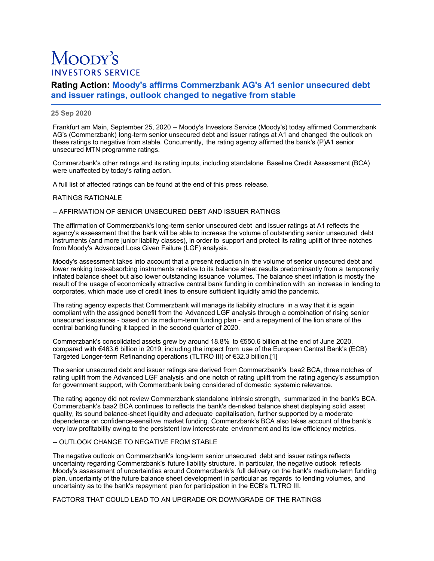# Moopy's **INVESTORS SERVICE**

# **Rating Action: Moody's affirms Commerzbank AG's A1 senior unsecured debt and issuer ratings, outlook changed to negative from stable**

# **25 Sep 2020**

Frankfurt am Main, September 25, 2020 -- Moody's Investors Service (Moody's) today affirmed Commerzbank AG's (Commerzbank) long-term senior unsecured debt and issuer ratings at A1 and changed the outlook on these ratings to negative from stable. Concurrently, the rating agency affirmed the bank's (P)A1 senior unsecured MTN programme ratings.

Commerzbank's other ratings and its rating inputs, including standalone Baseline Credit Assessment (BCA) were unaffected by today's rating action.

A full list of affected ratings can be found at the end of this press release.

### RATINGS RATIONALE

#### -- AFFIRMATION OF SENIOR UNSECURED DEBT AND ISSUER RATINGS

The affirmation of Commerzbank's long-term senior unsecured debt and issuer ratings at A1 reflects the agency's assessment that the bank will be able to increase the volume of outstanding senior unsecured debt instruments (and more junior liability classes), in order to support and protect its rating uplift of three notches from Moody's Advanced Loss Given Failure (LGF) analysis.

Moody's assessment takes into account that a present reduction in the volume of senior unsecured debt and lower ranking loss-absorbing instruments relative to its balance sheet results predominantly from a temporarily inflated balance sheet but also lower outstanding issuance volumes. The balance sheet inflation is mostly the result of the usage of economically attractive central bank funding in combination with an increase in lending to corporates, which made use of credit lines to ensure sufficient liquidity amid the pandemic.

The rating agency expects that Commerzbank will manage its liability structure in a way that it is again compliant with the assigned benefit from the Advanced LGF analysis through a combination of rising senior unsecured issuances - based on its medium-term funding plan - and a repayment of the lion share of the central banking funding it tapped in the second quarter of 2020.

Commerzbank's consolidated assets grew by around 18.8% to €550.6 billion at the end of June 2020, compared with €463.6 billion in 2019, including the impact from use of the European Central Bank's (ECB) Targeted Longer-term Refinancing operations (TLTRO III) of €32.3 billion.[1]

The senior unsecured debt and issuer ratings are derived from Commerzbank's baa2 BCA, three notches of rating uplift from the Advanced LGF analysis and one notch of rating uplift from the rating agency's assumption for government support, with Commerzbank being considered of domestic systemic relevance.

The rating agency did not review Commerzbank standalone intrinsic strength, summarized in the bank's BCA. Commerzbank's baa2 BCA continues to reflects the bank's de-risked balance sheet displaying solid asset quality, its sound balance-sheet liquidity and adequate capitalisation, further supported by a moderate dependence on confidence-sensitive market funding. Commerzbank's BCA also takes account of the bank's very low profitability owing to the persistent low interest-rate environment and its low efficiency metrics.

# -- OUTLOOK CHANGE TO NEGATIVE FROM STABLE

The negative outlook on Commerzbank's long-term senior unsecured debt and issuer ratings reflects uncertainty regarding Commerzbank's future liability structure. In particular, the negative outlook reflects Moody's assessment of uncertainties around Commerzbank's full delivery on the bank's medium-term funding plan, uncertainty of the future balance sheet development in particular as regards to lending volumes, and uncertainty as to the bank's repayment plan for participation in the ECB's TLTRO III.

FACTORS THAT COULD LEAD TO AN UPGRADE OR DOWNGRADE OF THE RATINGS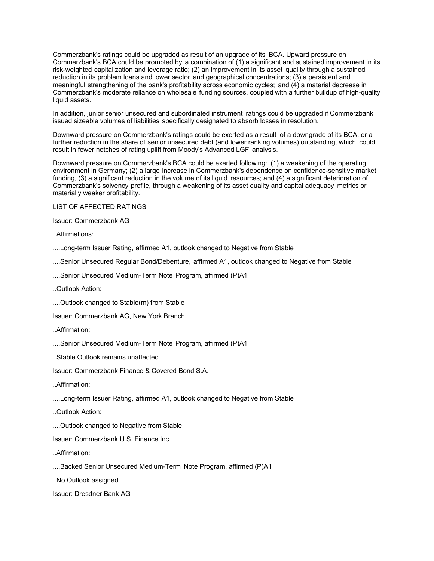Commerzbank's ratings could be upgraded as result of an upgrade of its BCA. Upward pressure on Commerzbank's BCA could be prompted by a combination of (1) a significant and sustained improvement in its risk-weighted capitalization and leverage ratio; (2) an improvement in its asset quality through a sustained reduction in its problem loans and lower sector and geographical concentrations; (3) a persistent and meaningful strengthening of the bank's profitability across economic cycles; and (4) a material decrease in Commerzbank's moderate reliance on wholesale funding sources, coupled with a further buildup of high-quality liquid assets.

In addition, junior senior unsecured and subordinated instrument ratings could be upgraded if Commerzbank issued sizeable volumes of liabilities specifically designated to absorb losses in resolution.

Downward pressure on Commerzbank's ratings could be exerted as a result of a downgrade of its BCA, or a further reduction in the share of senior unsecured debt (and lower ranking volumes) outstanding, which could result in fewer notches of rating uplift from Moody's Advanced LGF analysis.

Downward pressure on Commerzbank's BCA could be exerted following: (1) a weakening of the operating environment in Germany; (2) a large increase in Commerzbank's dependence on confidence-sensitive market funding, (3) a significant reduction in the volume of its liquid resources; and (4) a significant deterioration of Commerzbank's solvency profile, through a weakening of its asset quality and capital adequacy metrics or materially weaker profitability.

# LIST OF AFFECTED RATINGS

Issuer: Commerzbank AG

..Affirmations:

....Long-term Issuer Rating, affirmed A1, outlook changed to Negative from Stable

....Senior Unsecured Regular Bond/Debenture, affirmed A1, outlook changed to Negative from Stable

....Senior Unsecured Medium-Term Note Program, affirmed (P)A1

- ..Outlook Action:
- ....Outlook changed to Stable(m) from Stable

Issuer: Commerzbank AG, New York Branch

..Affirmation:

....Senior Unsecured Medium-Term Note Program, affirmed (P)A1

..Stable Outlook remains unaffected

Issuer: Commerzbank Finance & Covered Bond S.A.

..Affirmation:

....Long-term Issuer Rating, affirmed A1, outlook changed to Negative from Stable

- ..Outlook Action:
- ....Outlook changed to Negative from Stable

Issuer: Commerzbank U.S. Finance Inc.

..Affirmation:

....Backed Senior Unsecured Medium-Term Note Program, affirmed (P)A1

..No Outlook assigned

Issuer: Dresdner Bank AG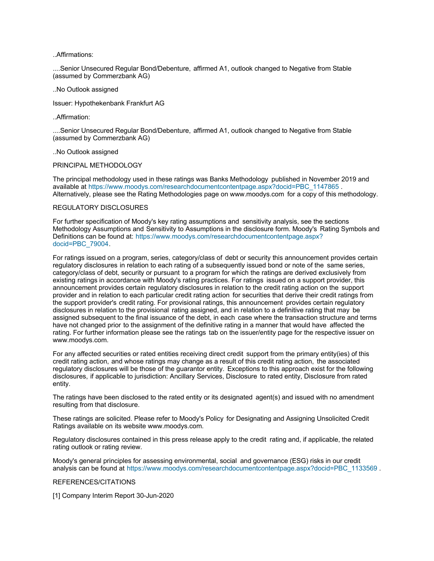#### ..Affirmations:

....Senior Unsecured Regular Bond/Debenture, affirmed A1, outlook changed to Negative from Stable (assumed by Commerzbank AG)

#### ..No Outlook assigned

Issuer: Hypothekenbank Frankfurt AG

..Affirmation:

....Senior Unsecured Regular Bond/Debenture, affirmed A1, outlook changed to Negative from Stable (assumed by Commerzbank AG)

..No Outlook assigned

### PRINCIPAL METHODOLOGY

The principal methodology used in these ratings was Banks Methodology published in November 2019 and available at [https://www.moodys.com/researchdocumentcontentpage.aspx?docid=PBC\\_1147865](https://www.moodys.com/researchdocumentcontentpage.aspx?docid=PBC_1147865). Alternatively, please see the Rating Methodologies page on www.moodys.com for a copy of this methodology.

#### REGULATORY DISCLOSURES

For further specification of Moody's key rating assumptions and sensitivity analysis, see the sections Methodology Assumptions and Sensitivity to Assumptions in the disclosure form. Moody's Rating Symbols and [Definitions can be found at: https://www.moodys.com/researchdocumentcontentpage.aspx?](https://www.moodys.com/researchdocumentcontentpage.aspx?docid=PBC_79004) docid=PBC\_79004.

For ratings issued on a program, series, category/class of debt or security this announcement provides certain regulatory disclosures in relation to each rating of a subsequently issued bond or note of the same series, category/class of debt, security or pursuant to a program for which the ratings are derived exclusively from existing ratings in accordance with Moody's rating practices. For ratings issued on a support provider, this announcement provides certain regulatory disclosures in relation to the credit rating action on the support provider and in relation to each particular credit rating action for securities that derive their credit ratings from the support provider's credit rating. For provisional ratings, this announcement provides certain regulatory disclosures in relation to the provisional rating assigned, and in relation to a definitive rating that may be assigned subsequent to the final issuance of the debt, in each case where the transaction structure and terms have not changed prior to the assignment of the definitive rating in a manner that would have affected the rating. For further information please see the ratings tab on the issuer/entity page for the respective issuer on www.moodys.com.

For any affected securities or rated entities receiving direct credit support from the primary entity(ies) of this credit rating action, and whose ratings may change as a result of this credit rating action, the associated regulatory disclosures will be those of the guarantor entity. Exceptions to this approach exist for the following disclosures, if applicable to jurisdiction: Ancillary Services, Disclosure to rated entity, Disclosure from rated entity.

The ratings have been disclosed to the rated entity or its designated agent(s) and issued with no amendment resulting from that disclosure.

These ratings are solicited. Please refer to Moody's Policy for Designating and Assigning Unsolicited Credit Ratings available on its website www.moodys.com.

Regulatory disclosures contained in this press release apply to the credit rating and, if applicable, the related rating outlook or rating review.

Moody's general principles for assessing environmental, social and governance (ESG) risks in our credit analysis can be found at [https://www.moodys.com/researchdocumentcontentpage.aspx?docid=PBC\\_1133569](https://www.moodys.com/researchdocumentcontentpage.aspx?docid=PBC_1133569).

#### REFERENCES/CITATIONS

[1] Company Interim Report 30-Jun-2020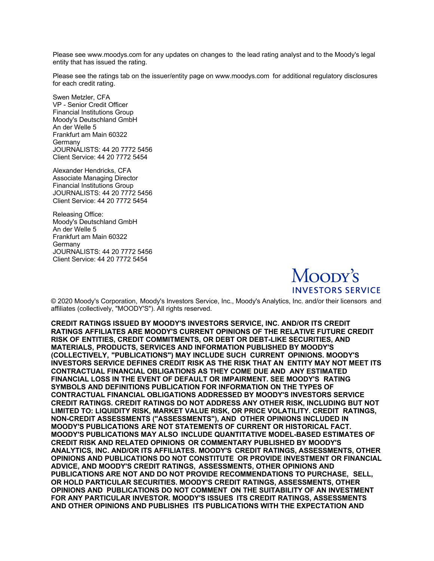Please see www.moodys.com for any updates on changes to the lead rating analyst and to the Moody's legal entity that has issued the rating.

Please see the ratings tab on the issuer/entity page on www.moodys.com for additional regulatory disclosures for each credit rating.

Swen Metzler, CFA VP - Senior Credit Officer Financial Institutions Group Moody's Deutschland GmbH An der Welle 5 Frankfurt am Main 60322 Germany JOURNALISTS: 44 20 7772 5456 Client Service: 44 20 7772 5454

Alexander Hendricks, CFA Associate Managing Director Financial Institutions Group JOURNALISTS: 44 20 7772 5456 Client Service: 44 20 7772 5454

Releasing Office: Moody's Deutschland GmbH An der Welle 5 Frankfurt am Main 60322 **Germany** JOURNALISTS: 44 20 7772 5456 Client Service: 44 20 7772 5454



© 2020 Moody's Corporation, Moody's Investors Service, Inc., Moody's Analytics, Inc. and/or their licensors and affiliates (collectively, "MOODY'S"). All rights reserved.

**CREDIT RATINGS ISSUED BY MOODY'S INVESTORS SERVICE, INC. AND/OR ITS CREDIT RATINGS AFFILIATES ARE MOODY'S CURRENT OPINIONS OF THE RELATIVE FUTURE CREDIT RISK OF ENTITIES, CREDIT COMMITMENTS, OR DEBT OR DEBT-LIKE SECURITIES, AND MATERIALS, PRODUCTS, SERVICES AND INFORMATION PUBLISHED BY MOODY'S (COLLECTIVELY, "PUBLICATIONS") MAY INCLUDE SUCH CURRENT OPINIONS. MOODY'S INVESTORS SERVICE DEFINES CREDIT RISK AS THE RISK THAT AN ENTITY MAY NOT MEET ITS CONTRACTUAL FINANCIAL OBLIGATIONS AS THEY COME DUE AND ANY ESTIMATED FINANCIAL LOSS IN THE EVENT OF DEFAULT OR IMPAIRMENT. SEE MOODY'S RATING SYMBOLS AND DEFINITIONS PUBLICATION FOR INFORMATION ON THE TYPES OF CONTRACTUAL FINANCIAL OBLIGATIONS ADDRESSED BY MOODY'S INVESTORS SERVICE CREDIT RATINGS. CREDIT RATINGS DO NOT ADDRESS ANY OTHER RISK, INCLUDING BUT NOT LIMITED TO: LIQUIDITY RISK, MARKET VALUE RISK, OR PRICE VOLATILITY. CREDIT RATINGS, NON-CREDIT ASSESSMENTS ("ASSESSMENTS"), AND OTHER OPINIONS INCLUDED IN MOODY'S PUBLICATIONS ARE NOT STATEMENTS OF CURRENT OR HISTORICAL FACT. MOODY'S PUBLICATIONS MAY ALSO INCLUDE QUANTITATIVE MODEL-BASED ESTIMATES OF CREDIT RISK AND RELATED OPINIONS OR COMMENTARY PUBLISHED BY MOODY'S ANALYTICS, INC. AND/OR ITS AFFILIATES. MOODY'S CREDIT RATINGS, ASSESSMENTS, OTHER OPINIONS AND PUBLICATIONS DO NOT CONSTITUTE OR PROVIDE INVESTMENT OR FINANCIAL ADVICE, AND MOODY'S CREDIT RATINGS, ASSESSMENTS, OTHER OPINIONS AND PUBLICATIONS ARE NOT AND DO NOT PROVIDE RECOMMENDATIONS TO PURCHASE, SELL, OR HOLD PARTICULAR SECURITIES. MOODY'S CREDIT RATINGS, ASSESSMENTS, OTHER OPINIONS AND PUBLICATIONS DO NOT COMMENT ON THE SUITABILITY OF AN INVESTMENT FOR ANY PARTICULAR INVESTOR. MOODY'S ISSUES ITS CREDIT RATINGS, ASSESSMENTS AND OTHER OPINIONS AND PUBLISHES ITS PUBLICATIONS WITH THE EXPECTATION AND**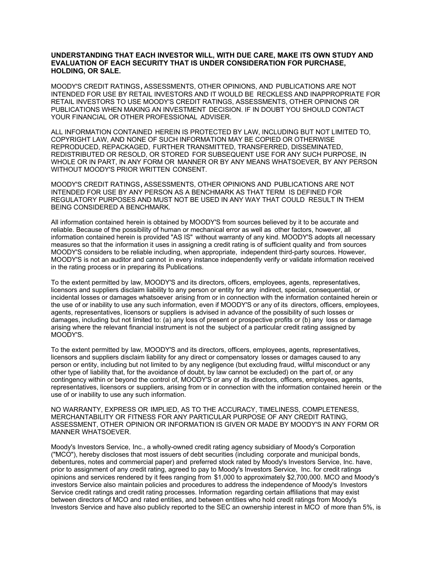# **UNDERSTANDING THAT EACH INVESTOR WILL, WITH DUE CARE, MAKE ITS OWN STUDY AND EVALUATION OF EACH SECURITY THAT IS UNDER CONSIDERATION FOR PURCHASE, HOLDING, OR SALE.**

MOODY'S CREDIT RATINGS**,** ASSESSMENTS, OTHER OPINIONS, AND PUBLICATIONS ARE NOT INTENDED FOR USE BY RETAIL INVESTORS AND IT WOULD BE RECKLESS AND INAPPROPRIATE FOR RETAIL INVESTORS TO USE MOODY'S CREDIT RATINGS, ASSESSMENTS, OTHER OPINIONS OR PUBLICATIONS WHEN MAKING AN INVESTMENT DECISION. IF IN DOUBT YOU SHOULD CONTACT YOUR FINANCIAL OR OTHER PROFESSIONAL ADVISER.

ALL INFORMATION CONTAINED HEREIN IS PROTECTED BY LAW, INCLUDING BUT NOT LIMITED TO, COPYRIGHT LAW, AND NONE OF SUCH INFORMATION MAY BE COPIED OR OTHERWISE REPRODUCED, REPACKAGED, FURTHER TRANSMITTED, TRANSFERRED, DISSEMINATED, REDISTRIBUTED OR RESOLD, OR STORED FOR SUBSEQUENT USE FOR ANY SUCH PURPOSE, IN WHOLE OR IN PART, IN ANY FORM OR MANNER OR BY ANY MEANS WHATSOEVER, BY ANY PERSON WITHOUT MOODY'S PRIOR WRITTEN CONSENT.

MOODY'S CREDIT RATINGS**,** ASSESSMENTS, OTHER OPINIONS AND PUBLICATIONS ARE NOT INTENDED FOR USE BY ANY PERSON AS A BENCHMARK AS THAT TERM IS DEFINED FOR REGULATORY PURPOSES AND MUST NOT BE USED IN ANY WAY THAT COULD RESULT IN THEM BEING CONSIDERED A BENCHMARK.

All information contained herein is obtained by MOODY'S from sources believed by it to be accurate and reliable. Because of the possibility of human or mechanical error as well as other factors, however, all information contained herein is provided "AS IS" without warranty of any kind. MOODY'S adopts all necessary measures so that the information it uses in assigning a credit rating is of sufficient quality and from sources MOODY'S considers to be reliable including, when appropriate, independent third-party sources. However, MOODY'S is not an auditor and cannot in every instance independently verify or validate information received in the rating process or in preparing its Publications.

To the extent permitted by law, MOODY'S and its directors, officers, employees, agents, representatives, licensors and suppliers disclaim liability to any person or entity for any indirect, special, consequential, or incidental losses or damages whatsoever arising from or in connection with the information contained herein or the use of or inability to use any such information, even if MOODY'S or any of its directors, officers, employees, agents, representatives, licensors or suppliers is advised in advance of the possibility of such losses or damages, including but not limited to: (a) any loss of present or prospective profits or (b) any loss or damage arising where the relevant financial instrument is not the subject of a particular credit rating assigned by MOODY'S.

To the extent permitted by law, MOODY'S and its directors, officers, employees, agents, representatives, licensors and suppliers disclaim liability for any direct or compensatory losses or damages caused to any person or entity, including but not limited to by any negligence (but excluding fraud, willful misconduct or any other type of liability that, for the avoidance of doubt, by law cannot be excluded) on the part of, or any contingency within or beyond the control of, MOODY'S or any of its directors, officers, employees, agents, representatives, licensors or suppliers, arising from or in connection with the information contained herein or the use of or inability to use any such information.

NO WARRANTY, EXPRESS OR IMPLIED, AS TO THE ACCURACY, TIMELINESS, COMPLETENESS, MERCHANTABILITY OR FITNESS FOR ANY PARTICULAR PURPOSE OF ANY CREDIT RATING, ASSESSMENT, OTHER OPINION OR INFORMATION IS GIVEN OR MADE BY MOODY'S IN ANY FORM OR MANNER WHATSOEVER.

Moody's Investors Service, Inc., a wholly-owned credit rating agency subsidiary of Moody's Corporation ("MCO"), hereby discloses that most issuers of debt securities (including corporate and municipal bonds, debentures, notes and commercial paper) and preferred stock rated by Moody's Investors Service, Inc. have, prior to assignment of any credit rating, agreed to pay to Moody's Investors Service, Inc. for credit ratings opinions and services rendered by it fees ranging from \$1,000 to approximately \$2,700,000. MCO and Moody's investors Service also maintain policies and procedures to address the independence of Moody's Investors Service credit ratings and credit rating processes. Information regarding certain affiliations that may exist between directors of MCO and rated entities, and between entities who hold credit ratings from Moody's Investors Service and have also publicly reported to the SEC an ownership interest in MCO of more than 5%, is